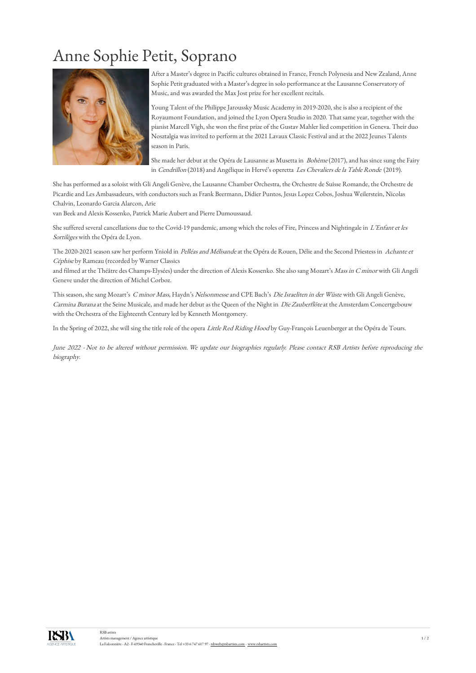## Anne Sophie Petit, Soprano



After a Master's degree in Pacific cultures obtained in France, French Polynesia and New Zealand, Anne Sophie Petit graduated with a Master's degree in solo performance at the Lausanne Conservatory of Music, and was awarded the Max Jost prize for her excellent recitals.

Young Talent of the Philippe Jaroussky Music Academy in 2019-2020, she is also a recipient of the Royaumont Foundation, and joined the Lyon Opera Studio in 2020. That same year, together with the pianist Marcell Vigh, she won the first prize of the Gustav Mahler lied competition in Geneva. Their duo Nosztalgia was invited to perform at the 2021 Lavaux Classic Festival and at the 2022 Jeunes Talents season in Paris.

She made her debut at the Opéra de Lausanne as Musetta in Bohème (2017), and has since sung the Fairy in Cendrillon (2018) and Angélique in Hervé's operetta Les Chevaliers de la Table Ronde (2019).

She has performed as a soloist with Gli Angeli Genève, the Lausanne Chamber Orchestra, the Orchestre de Suisse Romande, the Orchestre de Picardie and Les Ambassadeurs, with conductors such as Frank Beermann, Didier Puntos, Jesus Lopez Cobos, Joshua Weilerstein, Nicolas Chalvin, Leonardo Garcia Alarcon, Arie

van Beek and Alexis Kossenko, Patrick Marie Aubert and Pierre Dumoussaud.

She suffered several cancellations due to the Covid-19 pandemic, among which the roles of Fire, Princess and Nightingale in L'Enfant et les Sortilèges with the Opéra de Lyon.

The 2020-2021 season saw her perform Yniold in Pelléas and Mélisande at the Opéra de Rouen, Délie and the Second Priestess in Achante et Céphise by Rameau (recorded by Warner Classics

and filmed at the Théâtre des Champs-Elysées) under the direction of Alexis Kossenko. She also sang Mozart's Mass in C minor with Gli Angeli Geneve under the direction of Michel Corboz.

This season, she sang Mozart's <sup>C</sup> minor Mass, Haydn's Nelsonmesse and CPE Bach's Die Israeliten in der Wüste with Gli Angeli Genève, Carmina Burana at the Seine Musicale, and made her debut as the Queen of the Night in Die Zauberflöte at the Amsterdam Concertgebouw with the Orchestra of the Eighteenth Century led by Kenneth Montgomery.

In the Spring of 2022, she will sing the title role of the opera Little Red Riding Hood by Guy-François Leuenberger at the Opéra de Tours.

June <sup>2022</sup> - Not to be altered without permission. We update our biographies regularly. Please contact RSB Artists before reproducing the biography.